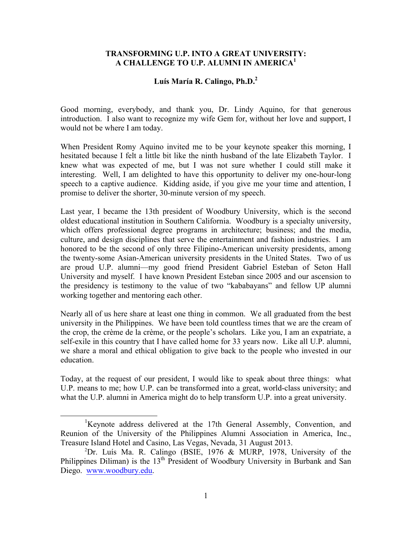#### **TRANSFORMING U.P. INTO A GREAT UNIVERSITY: A CHALLENGE TO U.P. ALUMNI IN AMERICA1**

# **Luís María R. Calingo, Ph.D.2**

Good morning, everybody, and thank you, Dr. Lindy Aquino, for that generous introduction. I also want to recognize my wife Gem for, without her love and support, I would not be where I am today.

When President Romy Aquino invited me to be your keynote speaker this morning, I hesitated because I felt a little bit like the ninth husband of the late Elizabeth Taylor. I knew what was expected of me, but I was not sure whether I could still make it interesting. Well, I am delighted to have this opportunity to deliver my one-hour-long speech to a captive audience. Kidding aside, if you give me your time and attention, I promise to deliver the shorter, 30-minute version of my speech.

Last year, I became the 13th president of Woodbury University, which is the second oldest educational institution in Southern California. Woodbury is a specialty university, which offers professional degree programs in architecture; business; and the media, culture, and design disciplines that serve the entertainment and fashion industries. I am honored to be the second of only three Filipino-American university presidents, among the twenty-some Asian-American university presidents in the United States. Two of us are proud U.P. alumni—my good friend President Gabriel Esteban of Seton Hall University and myself. I have known President Esteban since 2005 and our ascension to the presidency is testimony to the value of two "kababayans" and fellow UP alumni working together and mentoring each other.

Nearly all of us here share at least one thing in common. We all graduated from the best university in the Philippines. We have been told countless times that we are the cream of the crop, the crème de la crème, or the people's scholars. Like you, I am an expatriate, a self-exile in this country that I have called home for 33 years now. Like all U.P. alumni, we share a moral and ethical obligation to give back to the people who invested in our education.

Today, at the request of our president, I would like to speak about three things: what U.P. means to me; how U.P. can be transformed into a great, world-class university; and what the U.P. alumni in America might do to help transform U.P. into a great university.

<sup>&</sup>lt;sup>1</sup>Keynote address delivered at the 17th General Assembly, Convention, and Reunion of the University of the Philippines Alumni Association in America, Inc., Treasure Island Hotel and Casino, Las Vegas, Nevada, 31 August 2013.

<sup>&</sup>lt;sup>2</sup>Dr. Luís Ma. R. Calingo (BSIE, 1976 & MURP, 1978, University of the Philippines Diliman) is the 13<sup>th</sup> President of Woodbury University in Burbank and San Diego. www.woodbury.edu.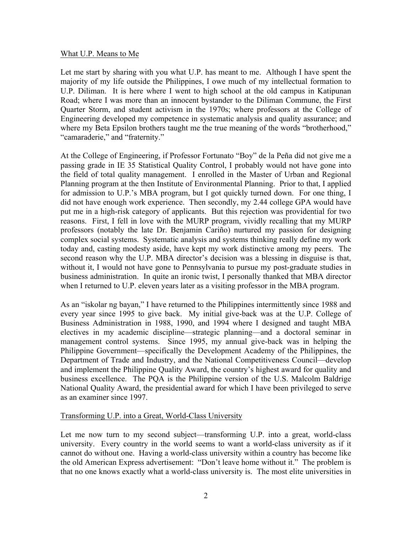# What U.P. Means to Me

Let me start by sharing with you what U.P. has meant to me. Although I have spent the majority of my life outside the Philippines, I owe much of my intellectual formation to U.P. Diliman. It is here where I went to high school at the old campus in Katipunan Road; where I was more than an innocent bystander to the Diliman Commune, the First Quarter Storm, and student activism in the 1970s; where professors at the College of Engineering developed my competence in systematic analysis and quality assurance; and where my Beta Epsilon brothers taught me the true meaning of the words "brotherhood," "camaraderie," and "fraternity."

At the College of Engineering, if Professor Fortunato "Boy" de la Peña did not give me a passing grade in IE 35 Statistical Quality Control, I probably would not have gone into the field of total quality management. I enrolled in the Master of Urban and Regional Planning program at the then Institute of Environmental Planning. Prior to that, I applied for admission to U.P.'s MBA program, but I got quickly turned down. For one thing, I did not have enough work experience. Then secondly, my 2.44 college GPA would have put me in a high-risk category of applicants. But this rejection was providential for two reasons. First, I fell in love with the MURP program, vividly recalling that my MURP professors (notably the late Dr. Benjamin Cariño) nurtured my passion for designing complex social systems. Systematic analysis and systems thinking really define my work today and, casting modesty aside, have kept my work distinctive among my peers. The second reason why the U.P. MBA director's decision was a blessing in disguise is that, without it, I would not have gone to Pennsylvania to pursue my post-graduate studies in business administration. In quite an ironic twist, I personally thanked that MBA director when I returned to U.P. eleven years later as a visiting professor in the MBA program.

As an "iskolar ng bayan," I have returned to the Philippines intermittently since 1988 and every year since 1995 to give back. My initial give-back was at the U.P. College of Business Administration in 1988, 1990, and 1994 where I designed and taught MBA electives in my academic discipline—strategic planning—and a doctoral seminar in management control systems. Since 1995, my annual give-back was in helping the Philippine Government—specifically the Development Academy of the Philippines, the Department of Trade and Industry, and the National Competitiveness Council—develop and implement the Philippine Quality Award, the country's highest award for quality and business excellence. The PQA is the Philippine version of the U.S. Malcolm Baldrige National Quality Award, the presidential award for which I have been privileged to serve as an examiner since 1997.

### Transforming U.P. into a Great, World-Class University

Let me now turn to my second subject—transforming U.P. into a great, world-class university. Every country in the world seems to want a world-class university as if it cannot do without one. Having a world-class university within a country has become like the old American Express advertisement: "Don't leave home without it." The problem is that no one knows exactly what a world-class university is. The most elite universities in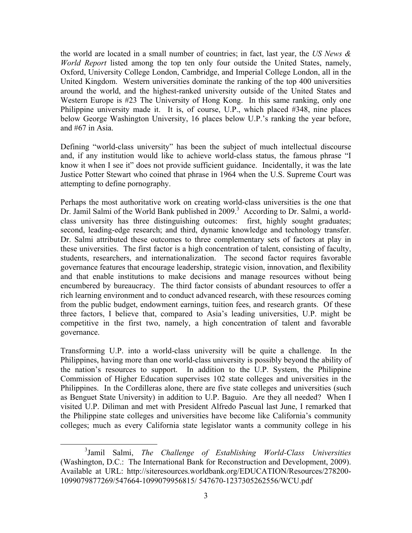the world are located in a small number of countries; in fact, last year, the *US News & World Report* listed among the top ten only four outside the United States, namely, Oxford, University College London, Cambridge, and Imperial College London, all in the United Kingdom. Western universities dominate the ranking of the top 400 universities around the world, and the highest-ranked university outside of the United States and Western Europe is #23 The University of Hong Kong. In this same ranking, only one Philippine university made it. It is, of course, U.P., which placed #348, nine places below George Washington University, 16 places below U.P.'s ranking the year before, and #67 in Asia.

Defining "world-class university" has been the subject of much intellectual discourse and, if any institution would like to achieve world-class status, the famous phrase "I know it when I see it" does not provide sufficient guidance. Incidentally, it was the late Justice Potter Stewart who coined that phrase in 1964 when the U.S. Supreme Court was attempting to define pornography.

Perhaps the most authoritative work on creating world-class universities is the one that Dr. Jamil Salmi of the World Bank published in 2009.<sup>3</sup> According to Dr. Salmi, a worldclass university has three distinguishing outcomes: first, highly sought graduates; second, leading-edge research; and third, dynamic knowledge and technology transfer. Dr. Salmi attributed these outcomes to three complementary sets of factors at play in these universities. The first factor is a high concentration of talent, consisting of faculty, students, researchers, and internationalization. The second factor requires favorable governance features that encourage leadership, strategic vision, innovation, and flexibility and that enable institutions to make decisions and manage resources without being encumbered by bureaucracy. The third factor consists of abundant resources to offer a rich learning environment and to conduct advanced research, with these resources coming from the public budget, endowment earnings, tuition fees, and research grants. Of these three factors, I believe that, compared to Asia's leading universities, U.P. might be competitive in the first two, namely, a high concentration of talent and favorable governance.

Transforming U.P. into a world-class university will be quite a challenge. In the Philippines, having more than one world-class university is possibly beyond the ability of the nation's resources to support. In addition to the U.P. System, the Philippine Commission of Higher Education supervises 102 state colleges and universities in the Philippines. In the Cordilleras alone, there are five state colleges and universities (such as Benguet State University) in addition to U.P. Baguio. Are they all needed? When I visited U.P. Diliman and met with President Alfredo Pascual last June, I remarked that the Philippine state colleges and universities have become like California's community colleges; much as every California state legislator wants a community college in his

 <sup>3</sup> Jamil Salmi, *The Challenge of Establishing World-Class Universities* (Washington, D.C.: The International Bank for Reconstruction and Development, 2009). Available at URL: http://siteresources.worldbank.org/EDUCATION/Resources/278200- 1099079877269/547664-1099079956815/ 547670-1237305262556/WCU.pdf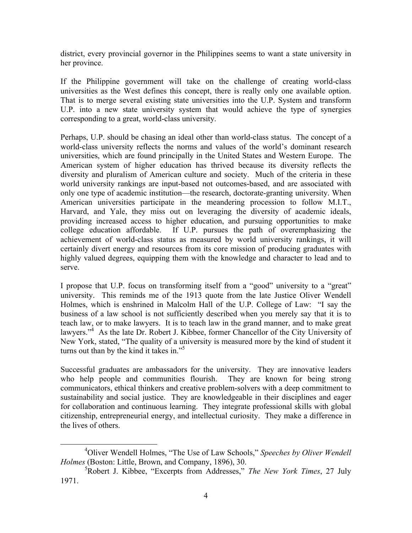district, every provincial governor in the Philippines seems to want a state university in her province.

If the Philippine government will take on the challenge of creating world-class universities as the West defines this concept, there is really only one available option. That is to merge several existing state universities into the U.P. System and transform U.P. into a new state university system that would achieve the type of synergies corresponding to a great, world-class university.

Perhaps, U.P. should be chasing an ideal other than world-class status. The concept of a world-class university reflects the norms and values of the world's dominant research universities, which are found principally in the United States and Western Europe. The American system of higher education has thrived because its diversity reflects the diversity and pluralism of American culture and society. Much of the criteria in these world university rankings are input-based not outcomes-based, and are associated with only one type of academic institution—the research, doctorate-granting university. When American universities participate in the meandering procession to follow M.I.T., Harvard, and Yale, they miss out on leveraging the diversity of academic ideals, providing increased access to higher education, and pursuing opportunities to make college education affordable. If U.P. pursues the path of overemphasizing the achievement of world-class status as measured by world university rankings, it will certainly divert energy and resources from its core mission of producing graduates with highly valued degrees, equipping them with the knowledge and character to lead and to serve.

I propose that U.P. focus on transforming itself from a "good" university to a "great" university. This reminds me of the 1913 quote from the late Justice Oliver Wendell Holmes, which is enshrined in Malcolm Hall of the U.P. College of Law: "I say the business of a law school is not sufficiently described when you merely say that it is to teach law, or to make lawyers. It is to teach law in the grand manner, and to make great lawyers."<sup>4</sup> As the late Dr. Robert J. Kibbee, former Chancellor of the City University of New York, stated, "The quality of a university is measured more by the kind of student it turns out than by the kind it takes in."<sup>5</sup>

Successful graduates are ambassadors for the university. They are innovative leaders who help people and communities flourish. They are known for being strong communicators, ethical thinkers and creative problem-solvers with a deep commitment to sustainability and social justice. They are knowledgeable in their disciplines and eager for collaboration and continuous learning. They integrate professional skills with global citizenship, entrepreneurial energy, and intellectual curiosity. They make a difference in the lives of others.

 <sup>4</sup> Oliver Wendell Holmes, "The Use of Law Schools," *Speeches by Oliver Wendell Holmes* (Boston: Little, Brown, and Company, 1896), 30.

<sup>5</sup> Robert J. Kibbee, "Excerpts from Addresses," *The New York Times*, 27 July 1971.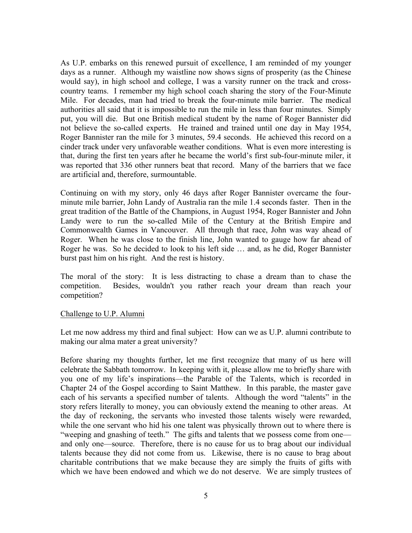As U.P. embarks on this renewed pursuit of excellence, I am reminded of my younger days as a runner. Although my waistline now shows signs of prosperity (as the Chinese would say), in high school and college, I was a varsity runner on the track and crosscountry teams. I remember my high school coach sharing the story of the Four-Minute Mile. For decades, man had tried to break the four-minute mile barrier. The medical authorities all said that it is impossible to run the mile in less than four minutes. Simply put, you will die. But one British medical student by the name of Roger Bannister did not believe the so-called experts. He trained and trained until one day in May 1954, Roger Bannister ran the mile for 3 minutes, 59.4 seconds. He achieved this record on a cinder track under very unfavorable weather conditions. What is even more interesting is that, during the first ten years after he became the world's first sub-four-minute miler, it was reported that 336 other runners beat that record. Many of the barriers that we face are artificial and, therefore, surmountable.

Continuing on with my story, only 46 days after Roger Bannister overcame the fourminute mile barrier, John Landy of Australia ran the mile 1.4 seconds faster. Then in the great tradition of the Battle of the Champions, in August 1954, Roger Bannister and John Landy were to run the so-called Mile of the Century at the British Empire and Commonwealth Games in Vancouver. All through that race, John was way ahead of Roger. When he was close to the finish line, John wanted to gauge how far ahead of Roger he was. So he decided to look to his left side … and, as he did, Roger Bannister burst past him on his right. And the rest is history.

The moral of the story: It is less distracting to chase a dream than to chase the competition. Besides, wouldn't you rather reach your dream than reach your competition?

#### Challenge to U.P. Alumni

Let me now address my third and final subject: How can we as U.P. alumni contribute to making our alma mater a great university?

Before sharing my thoughts further, let me first recognize that many of us here will celebrate the Sabbath tomorrow. In keeping with it, please allow me to briefly share with you one of my life's inspirations—the Parable of the Talents, which is recorded in Chapter 24 of the Gospel according to Saint Matthew. In this parable, the master gave each of his servants a specified number of talents. Although the word "talents" in the story refers literally to money, you can obviously extend the meaning to other areas. At the day of reckoning, the servants who invested those talents wisely were rewarded, while the one servant who hid his one talent was physically thrown out to where there is "weeping and gnashing of teeth." The gifts and talents that we possess come from one and only one—source. Therefore, there is no cause for us to brag about our individual talents because they did not come from us. Likewise, there is no cause to brag about charitable contributions that we make because they are simply the fruits of gifts with which we have been endowed and which we do not deserve. We are simply trustees of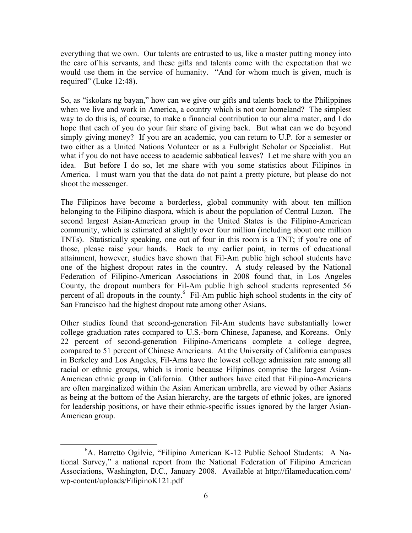everything that we own. Our talents are entrusted to us, like a master putting money into the care of his servants, and these gifts and talents come with the expectation that we would use them in the service of humanity. "And for whom much is given, much is required" (Luke 12:48).

So, as "iskolars ng bayan," how can we give our gifts and talents back to the Philippines when we live and work in America, a country which is not our homeland? The simplest way to do this is, of course, to make a financial contribution to our alma mater, and I do hope that each of you do your fair share of giving back. But what can we do beyond simply giving money? If you are an academic, you can return to U.P. for a semester or two either as a United Nations Volunteer or as a Fulbright Scholar or Specialist. But what if you do not have access to academic sabbatical leaves? Let me share with you an idea. But before I do so, let me share with you some statistics about Filipinos in America. I must warn you that the data do not paint a pretty picture, but please do not shoot the messenger.

The Filipinos have become a borderless, global community with about ten million belonging to the Filipino diaspora, which is about the population of Central Luzon. The second largest Asian-American group in the United States is the Filipino-American community, which is estimated at slightly over four million (including about one million TNTs). Statistically speaking, one out of four in this room is a TNT; if you're one of those, please raise your hands. Back to my earlier point, in terms of educational attainment, however, studies have shown that Fil-Am public high school students have one of the highest dropout rates in the country. A study released by the National Federation of Filipino-American Associations in 2008 found that, in Los Angeles County, the dropout numbers for Fil-Am public high school students represented 56 percent of all dropouts in the county. $6$  Fil-Am public high school students in the city of San Francisco had the highest dropout rate among other Asians.

Other studies found that second-generation Fil-Am students have substantially lower college graduation rates compared to U.S.-born Chinese, Japanese, and Koreans. Only 22 percent of second-generation Filipino-Americans complete a college degree, compared to 51 percent of Chinese Americans. At the University of California campuses in Berkeley and Los Angeles, Fil-Ams have the lowest college admission rate among all racial or ethnic groups, which is ironic because Filipinos comprise the largest Asian-American ethnic group in California. Other authors have cited that Filipino-Americans are often marginalized within the Asian American umbrella, are viewed by other Asians as being at the bottom of the Asian hierarchy, are the targets of ethnic jokes, are ignored for leadership positions, or have their ethnic-specific issues ignored by the larger Asian-American group.

 <sup>6</sup> A. Barretto Ogilvie, "Filipino American K-12 Public School Students: A National Survey," a national report from the National Federation of Filipino American Associations, Washington, D.C., January 2008. Available at http://filameducation.com/ wp-content/uploads/FilipinoK121.pdf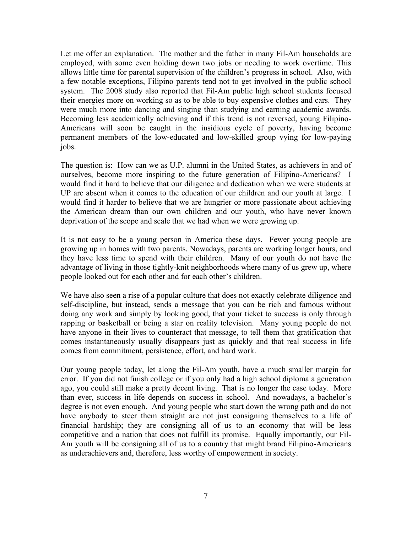Let me offer an explanation. The mother and the father in many Fil-Am households are employed, with some even holding down two jobs or needing to work overtime. This allows little time for parental supervision of the children's progress in school. Also, with a few notable exceptions, Filipino parents tend not to get involved in the public school system. The 2008 study also reported that Fil-Am public high school students focused their energies more on working so as to be able to buy expensive clothes and cars. They were much more into dancing and singing than studying and earning academic awards. Becoming less academically achieving and if this trend is not reversed, young Filipino-Americans will soon be caught in the insidious cycle of poverty, having become permanent members of the low-educated and low-skilled group vying for low-paying jobs.

The question is: How can we as U.P. alumni in the United States, as achievers in and of ourselves, become more inspiring to the future generation of Filipino-Americans? I would find it hard to believe that our diligence and dedication when we were students at UP are absent when it comes to the education of our children and our youth at large. I would find it harder to believe that we are hungrier or more passionate about achieving the American dream than our own children and our youth, who have never known deprivation of the scope and scale that we had when we were growing up.

It is not easy to be a young person in America these days. Fewer young people are growing up in homes with two parents. Nowadays, parents are working longer hours, and they have less time to spend with their children. Many of our youth do not have the advantage of living in those tightly-knit neighborhoods where many of us grew up, where people looked out for each other and for each other's children.

We have also seen a rise of a popular culture that does not exactly celebrate diligence and self-discipline, but instead, sends a message that you can be rich and famous without doing any work and simply by looking good, that your ticket to success is only through rapping or basketball or being a star on reality television. Many young people do not have anyone in their lives to counteract that message, to tell them that gratification that comes instantaneously usually disappears just as quickly and that real success in life comes from commitment, persistence, effort, and hard work.

Our young people today, let along the Fil-Am youth, have a much smaller margin for error. If you did not finish college or if you only had a high school diploma a generation ago, you could still make a pretty decent living. That is no longer the case today. More than ever, success in life depends on success in school. And nowadays, a bachelor's degree is not even enough. And young people who start down the wrong path and do not have anybody to steer them straight are not just consigning themselves to a life of financial hardship; they are consigning all of us to an economy that will be less competitive and a nation that does not fulfill its promise. Equally importantly, our Fil-Am youth will be consigning all of us to a country that might brand Filipino-Americans as underachievers and, therefore, less worthy of empowerment in society.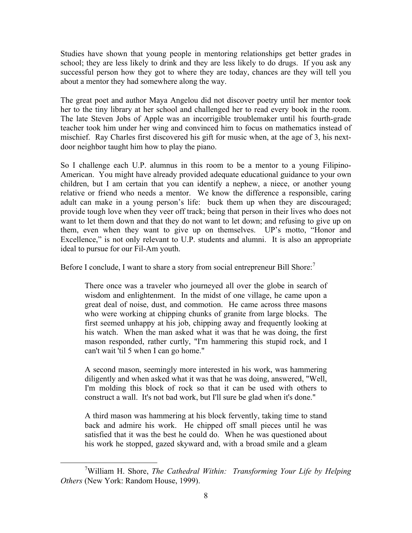Studies have shown that young people in mentoring relationships get better grades in school; they are less likely to drink and they are less likely to do drugs. If you ask any successful person how they got to where they are today, chances are they will tell you about a mentor they had somewhere along the way.

The great poet and author Maya Angelou did not discover poetry until her mentor took her to the tiny library at her school and challenged her to read every book in the room. The late Steven Jobs of Apple was an incorrigible troublemaker until his fourth-grade teacher took him under her wing and convinced him to focus on mathematics instead of mischief. Ray Charles first discovered his gift for music when, at the age of 3, his nextdoor neighbor taught him how to play the piano.

So I challenge each U.P. alumnus in this room to be a mentor to a young Filipino-American. You might have already provided adequate educational guidance to your own children, but I am certain that you can identify a nephew, a niece, or another young relative or friend who needs a mentor. We know the difference a responsible, caring adult can make in a young person's life: buck them up when they are discouraged; provide tough love when they veer off track; being that person in their lives who does not want to let them down and that they do not want to let down; and refusing to give up on them, even when they want to give up on themselves. UP's motto, "Honor and Excellence," is not only relevant to U.P. students and alumni. It is also an appropriate ideal to pursue for our Fil-Am youth.

Before I conclude, I want to share a story from social entrepreneur Bill Shore:<sup>7</sup>

There once was a traveler who journeyed all over the globe in search of wisdom and enlightenment. In the midst of one village, he came upon a great deal of noise, dust, and commotion. He came across three masons who were working at chipping chunks of granite from large blocks. The first seemed unhappy at his job, chipping away and frequently looking at his watch. When the man asked what it was that he was doing, the first mason responded, rather curtly, "I'm hammering this stupid rock, and I can't wait 'til 5 when I can go home."

A second mason, seemingly more interested in his work, was hammering diligently and when asked what it was that he was doing, answered, "Well, I'm molding this block of rock so that it can be used with others to construct a wall. It's not bad work, but I'll sure be glad when it's done."

A third mason was hammering at his block fervently, taking time to stand back and admire his work. He chipped off small pieces until he was satisfied that it was the best he could do. When he was questioned about his work he stopped, gazed skyward and, with a broad smile and a gleam

 <sup>7</sup> William H. Shore, *The Cathedral Within: Transforming Your Life by Helping Others* (New York: Random House, 1999).